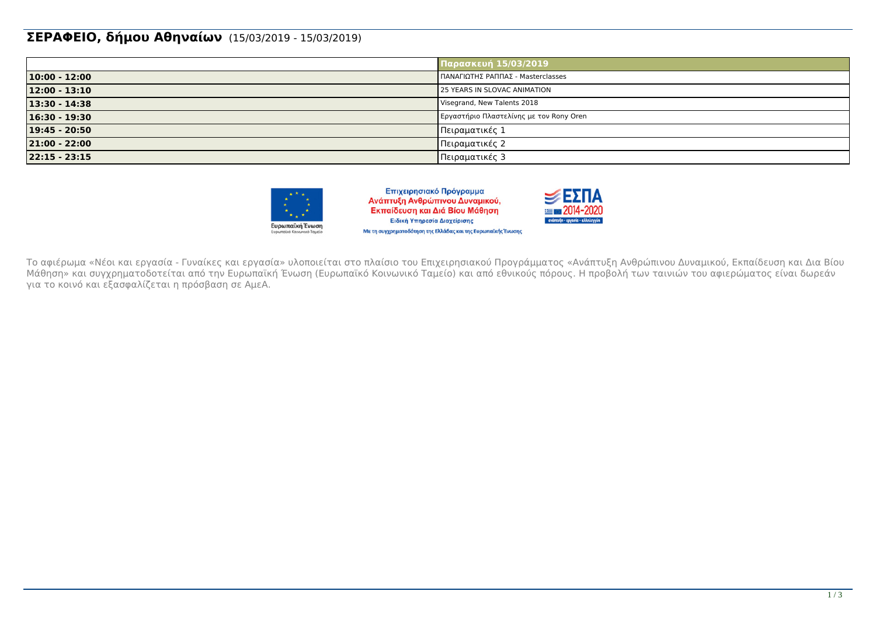#### **ΣΕΡΑΦΕΙΟ, δήμου Αθηναίων** (15/03/2019 - 15/03/2019)

|                  | Παρασκευή 15/03/2019                    |
|------------------|-----------------------------------------|
| $10:00 - 12:00$  | ΠΑΝΑΓΙΩΤΗΣ ΡΑΠΠΑΣ - Masterclasses       |
| $12:00 - 13:10$  | 25 YEARS IN SLOVAC ANIMATION            |
| $13:30 - 14:38$  | Visegrand, New Talents 2018             |
| $16:30 - 19:30$  | Εργαστήριο Πλαστελίνης με τον Rony Oren |
| $19:45 - 20:50$  | Πειραματικές 1                          |
| 21:00 - 22:00    | Πειραματικές 2                          |
| $ 22:15 - 23:15$ | Πειραματικές 3                          |



Επιχειρησιακό Πρόγραμμα Ανάπτυξη Ανθρώπινου Δυναμικού, Εκπαίδευση και Διά Βίου Μάθηση Ειδική Υπηρεσία Διαχείρισης Με τη συγχρηματοδότηση της Ελλάδας και της Ευρωπαϊκής Ένωσης



Το αφιέρωμα «Νέοι και εργασία - Γυναίκες και εργασία» υλοποιείται στο πλαίσιο του Επιχειρησιακού Προγράμματος «Ανάπτυξη Ανθρώπινου Δυναμικού, Εκπαίδευση και Δια Βίου Μάθηση» και συγχρηματοδοτείται από την Ευρωπαϊκή Ένωση (Ευρωπαϊκό Κοινωνικό Ταμείο) και από εθνικούς πόρους. Η προβολή των ταινιών του αφιερώματος είναι δωρεάν για το κοινό και εξασφαλίζεται η πρόσβαση σε ΑμεΑ.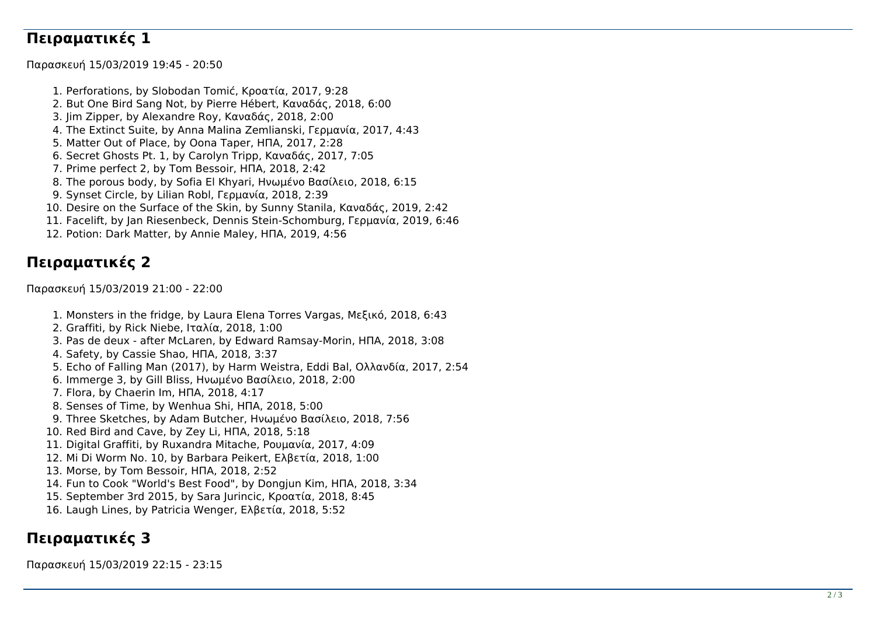## **Πειραματικές 1**

Παρασκευή 15/03/2019 19:45 - 20:50

1. Perforations, by Slobodan Tomić, Κροατία, 2017, 9:28 2. But One Bird Sang Not, by Pierre Hébert, Καναδάς, 2018, 6:00 3. Jim Zipper, by Alexandre Roy, Καναδάς, 2018, 2:00 4. The Extinct Suite, by Anna Malina Zemlianski, Γερμανία, 2017, 4:43 5. Matter Out of Place, by Oona Taper, ΗΠΑ, 2017, 2:28 6. Secret Ghosts Pt. 1, by Carolyn Tripp, Καναδάς, 2017, 7:05 7. Prime perfect 2, by Tom Bessoir, ΗΠΑ, 2018, 2:42 8. The porous body, by Sofia El Khyari, Ηνωμένο Βασίλειο, 2018, 6:15 9. Synset Circle, by Lilian Robl, Γερμανία, 2018, 2:39 10. Desire on the Surface of the Skin, by Sunny Stanila, Καναδάς, 2019, 2:42 11. Facelift, by Jan Riesenbeck, Dennis Stein-Schomburg, Γερμανία, 2019, 6:46 12. Potion: Dark Matter, by Annie Maley, ΗΠΑ, 2019, 4:56

## **Πειραματικές 2**

Παρασκευή 15/03/2019 21:00 - 22:00

- 1. Monsters in the fridge, by Laura Elena Torres Vargas, Μεξικό, 2018, 6:43
- 2. Graffiti, by Rick Niebe, Ιταλία, 2018, 1:00
- 3. Pas de deux after McLaren, by Edward Ramsay-Morin, ΗΠΑ, 2018, 3:08
- 4. Safety, by Cassie Shao, ΗΠΑ, 2018, 3:37
- 5. Echo of Falling Man (2017), by Harm Weistra, Eddi Bal, Ολλανδία, 2017, 2:54
- 6. Immerge 3, by Gill Bliss, Ηνωμένο Βασίλειο, 2018, 2:00
- 7. Flora, by Chaerin Im, ΗΠΑ, 2018, 4:17
- 8. Senses of Time, by Wenhua Shi, ΗΠΑ, 2018, 5:00
- 9. Three Sketches, by Adam Butcher, Ηνωμένο Βασίλειο, 2018, 7:56
- 10. Red Bird and Cave, by Zey Li, ΗΠΑ, 2018, 5:18
- 11. Digital Graffiti, by Ruxandra Mitache, Ρουμανία, 2017, 4:09
- 12. Mi Di Worm No. 10, by Barbara Peikert, Ελβετία, 2018, 1:00
- 13. Morse, by Tom Bessoir, ΗΠΑ, 2018, 2:52
- 14. Fun to Cook "World's Best Food", by Dongjun Kim, ΗΠΑ, 2018, 3:34
- 15. September 3rd 2015, by Sara Jurincic, Κροατία, 2018, 8:45
- 16. Laugh Lines, by Patricia Wenger, Ελβετία, 2018, 5:52

# **Πειραματικές 3**

Παρασκευή 15/03/2019 22:15 - 23:15